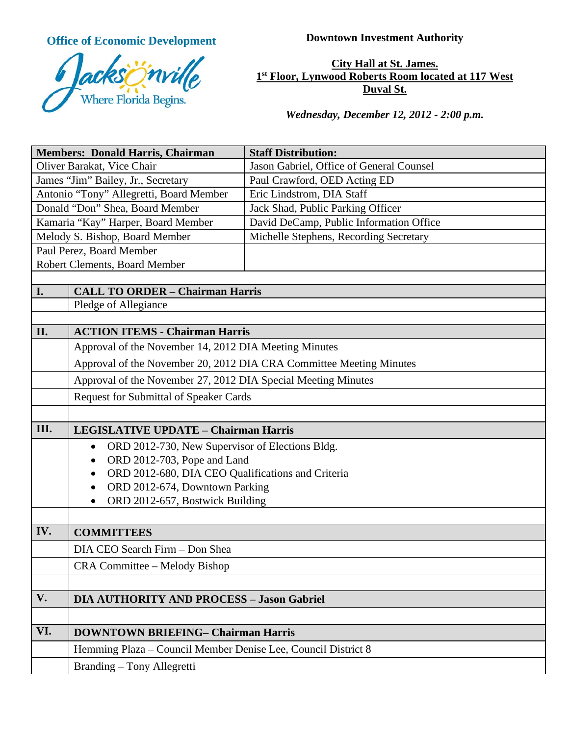**Office of Economic Development Downtown Investment Authority** 



**City Hall at St. James. 1st Floor, Lynwood Roberts Room located at 117 West Duval St.**

*Wednesday, December 12, 2012 - 2:00 p.m.*

| <b>Staff Distribution:</b>                                          |  |  |
|---------------------------------------------------------------------|--|--|
| Jason Gabriel, Office of General Counsel                            |  |  |
| Paul Crawford, OED Acting ED                                        |  |  |
| Eric Lindstrom, DIA Staff                                           |  |  |
| Jack Shad, Public Parking Officer                                   |  |  |
| David DeCamp, Public Information Office                             |  |  |
| Michelle Stephens, Recording Secretary                              |  |  |
|                                                                     |  |  |
| Robert Clements, Board Member                                       |  |  |
|                                                                     |  |  |
| <b>CALL TO ORDER - Chairman Harris</b>                              |  |  |
|                                                                     |  |  |
| <b>ACTION ITEMS - Chairman Harris</b>                               |  |  |
| Approval of the November 14, 2012 DIA Meeting Minutes               |  |  |
| Approval of the November 20, 2012 DIA CRA Committee Meeting Minutes |  |  |
| Approval of the November 27, 2012 DIA Special Meeting Minutes       |  |  |
| <b>Request for Submittal of Speaker Cards</b>                       |  |  |
|                                                                     |  |  |
| <b>LEGISLATIVE UPDATE - Chairman Harris</b>                         |  |  |
| ORD 2012-730, New Supervisor of Elections Bldg.                     |  |  |
| ORD 2012-703, Pope and Land                                         |  |  |
| ORD 2012-680, DIA CEO Qualifications and Criteria                   |  |  |
| ORD 2012-674, Downtown Parking                                      |  |  |
| ORD 2012-657, Bostwick Building                                     |  |  |
|                                                                     |  |  |
|                                                                     |  |  |
|                                                                     |  |  |
|                                                                     |  |  |
|                                                                     |  |  |
| <b>DIA AUTHORITY AND PROCESS - Jason Gabriel</b>                    |  |  |
|                                                                     |  |  |
| <b>DOWNTOWN BRIEFING- Chairman Harris</b>                           |  |  |
| Hemming Plaza – Council Member Denise Lee, Council District 8       |  |  |
|                                                                     |  |  |
|                                                                     |  |  |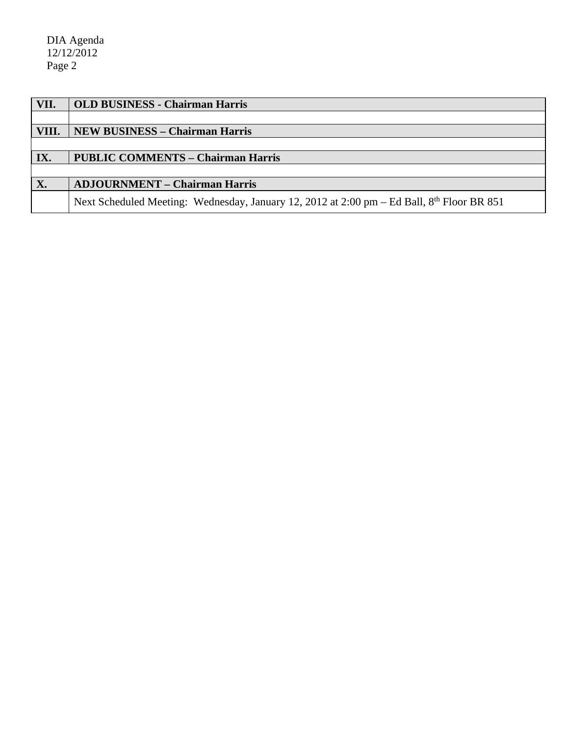| VII.  | <b>OLD BUSINESS - Chairman Harris</b>                                                                  |
|-------|--------------------------------------------------------------------------------------------------------|
|       |                                                                                                        |
| VIII. | <b>NEW BUSINESS – Chairman Harris</b>                                                                  |
|       |                                                                                                        |
| IX.   | <b>PUBLIC COMMENTS - Chairman Harris</b>                                                               |
|       |                                                                                                        |
| X.    | <b>ADJOURNMENT – Chairman Harris</b>                                                                   |
|       | Next Scheduled Meeting: Wednesday, January 12, 2012 at 2:00 pm – Ed Ball, 8 <sup>th</sup> Floor BR 851 |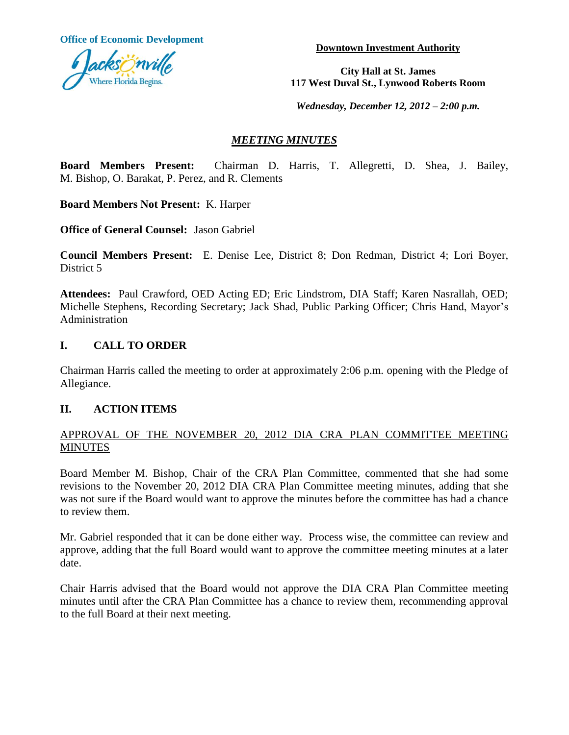**Office of Economic Development**



**Downtown Investment Authority**

**City Hall at St. James 117 West Duval St., Lynwood Roberts Room**

*Wednesday, December 12, 2012 – 2:00 p.m.*

## *MEETING MINUTES*

**Board Members Present:** Chairman D. Harris, T. Allegretti, D. Shea, J. Bailey, M. Bishop, O. Barakat, P. Perez, and R. Clements

**Board Members Not Present:** K. Harper

**Office of General Counsel:** Jason Gabriel

**Council Members Present:** E. Denise Lee, District 8; Don Redman, District 4; Lori Boyer, District 5

**Attendees:** Paul Crawford, OED Acting ED; Eric Lindstrom, DIA Staff; Karen Nasrallah, OED; Michelle Stephens, Recording Secretary; Jack Shad, Public Parking Officer; Chris Hand, Mayor's Administration

## **I. CALL TO ORDER**

Chairman Harris called the meeting to order at approximately 2:06 p.m. opening with the Pledge of Allegiance.

## **II. ACTION ITEMS**

## APPROVAL OF THE NOVEMBER 20, 2012 DIA CRA PLAN COMMITTEE MEETING MINUTES

Board Member M. Bishop, Chair of the CRA Plan Committee, commented that she had some revisions to the November 20, 2012 DIA CRA Plan Committee meeting minutes, adding that she was not sure if the Board would want to approve the minutes before the committee has had a chance to review them.

Mr. Gabriel responded that it can be done either way. Process wise, the committee can review and approve, adding that the full Board would want to approve the committee meeting minutes at a later date.

Chair Harris advised that the Board would not approve the DIA CRA Plan Committee meeting minutes until after the CRA Plan Committee has a chance to review them, recommending approval to the full Board at their next meeting.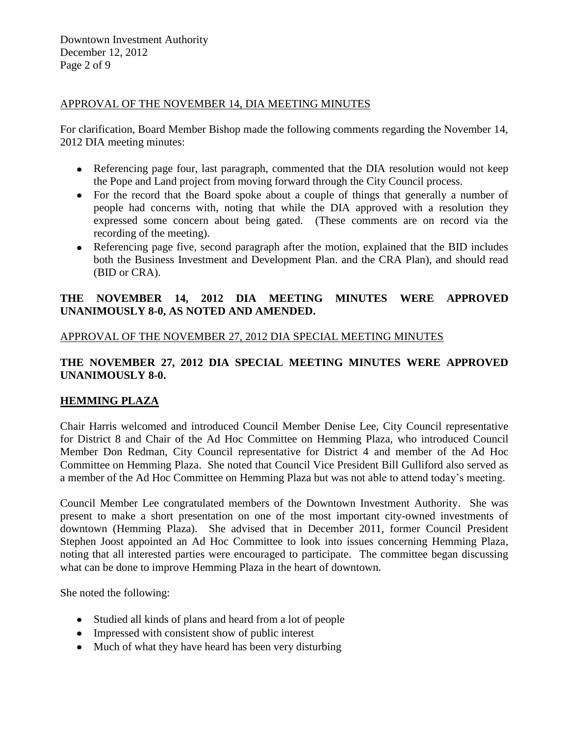#### APPROVAL OF THE NOVEMBER 14, DIA MEETING MINUTES

For clarification, Board Member Bishop made the following comments regarding the November 14, 2012 DIA meeting minutes:

- Referencing page four, last paragraph, commented that the DIA resolution would not keep the Pope and Land project from moving forward through the City Council process.
- For the record that the Board spoke about a couple of things that generally a number of people had concerns with, noting that while the DIA approved with a resolution they expressed some concern about being gated. (These comments are on record via the recording of the meeting).
- Referencing page five, second paragraph after the motion, explained that the BID includes both the Business Investment and Development Plan. and the CRA Plan), and should read (BID or CRA).

## **THE NOVEMBER 14, 2012 DIA MEETING MINUTES WERE APPROVED UNANIMOUSLY 8-0, AS NOTED AND AMENDED.**

#### APPROVAL OF THE NOVEMBER 27, 2012 DIA SPECIAL MEETING MINUTES

## **THE NOVEMBER 27, 2012 DIA SPECIAL MEETING MINUTES WERE APPROVED UNANIMOUSLY 8-0.**

## **HEMMING PLAZA**

Chair Harris welcomed and introduced Council Member Denise Lee, City Council representative for District 8 and Chair of the Ad Hoc Committee on Hemming Plaza, who introduced Council Member Don Redman, City Council representative for District 4 and member of the Ad Hoc Committee on Hemming Plaza. She noted that Council Vice President Bill Gulliford also served as a member of the Ad Hoc Committee on Hemming Plaza but was not able to attend today's meeting.

Council Member Lee congratulated members of the Downtown Investment Authority. She was present to make a short presentation on one of the most important city-owned investments of downtown (Hemming Plaza). She advised that in December 2011, former Council President Stephen Joost appointed an Ad Hoc Committee to look into issues concerning Hemming Plaza, noting that all interested parties were encouraged to participate. The committee began discussing what can be done to improve Hemming Plaza in the heart of downtown.

She noted the following:

- Studied all kinds of plans and heard from a lot of people
- Impressed with consistent show of public interest
- Much of what they have heard has been very disturbing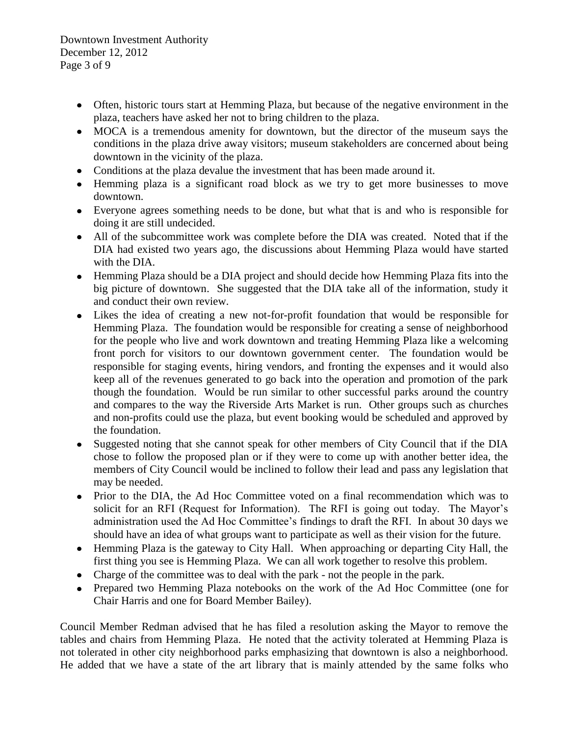Downtown Investment Authority December 12, 2012 Page 3 of 9

- Often, historic tours start at Hemming Plaza, but because of the negative environment in the plaza, teachers have asked her not to bring children to the plaza.
- MOCA is a tremendous amenity for downtown, but the director of the museum says the conditions in the plaza drive away visitors; museum stakeholders are concerned about being downtown in the vicinity of the plaza.
- Conditions at the plaza devalue the investment that has been made around it.
- Hemming plaza is a significant road block as we try to get more businesses to move downtown.
- Everyone agrees something needs to be done, but what that is and who is responsible for doing it are still undecided.
- All of the subcommittee work was complete before the DIA was created. Noted that if the DIA had existed two years ago, the discussions about Hemming Plaza would have started with the DIA.
- Hemming Plaza should be a DIA project and should decide how Hemming Plaza fits into the big picture of downtown. She suggested that the DIA take all of the information, study it and conduct their own review.
- Likes the idea of creating a new not-for-profit foundation that would be responsible for Hemming Plaza. The foundation would be responsible for creating a sense of neighborhood for the people who live and work downtown and treating Hemming Plaza like a welcoming front porch for visitors to our downtown government center. The foundation would be responsible for staging events, hiring vendors, and fronting the expenses and it would also keep all of the revenues generated to go back into the operation and promotion of the park though the foundation. Would be run similar to other successful parks around the country and compares to the way the Riverside Arts Market is run. Other groups such as churches and non-profits could use the plaza, but event booking would be scheduled and approved by the foundation.
- Suggested noting that she cannot speak for other members of City Council that if the DIA  $\bullet$ chose to follow the proposed plan or if they were to come up with another better idea, the members of City Council would be inclined to follow their lead and pass any legislation that may be needed.
- Prior to the DIA, the Ad Hoc Committee voted on a final recommendation which was to solicit for an RFI (Request for Information). The RFI is going out today. The Mayor's administration used the Ad Hoc Committee's findings to draft the RFI. In about 30 days we should have an idea of what groups want to participate as well as their vision for the future.
- Hemming Plaza is the gateway to City Hall. When approaching or departing City Hall, the first thing you see is Hemming Plaza. We can all work together to resolve this problem.
- Charge of the committee was to deal with the park not the people in the park.
- Prepared two Hemming Plaza notebooks on the work of the Ad Hoc Committee (one for Chair Harris and one for Board Member Bailey).

Council Member Redman advised that he has filed a resolution asking the Mayor to remove the tables and chairs from Hemming Plaza. He noted that the activity tolerated at Hemming Plaza is not tolerated in other city neighborhood parks emphasizing that downtown is also a neighborhood. He added that we have a state of the art library that is mainly attended by the same folks who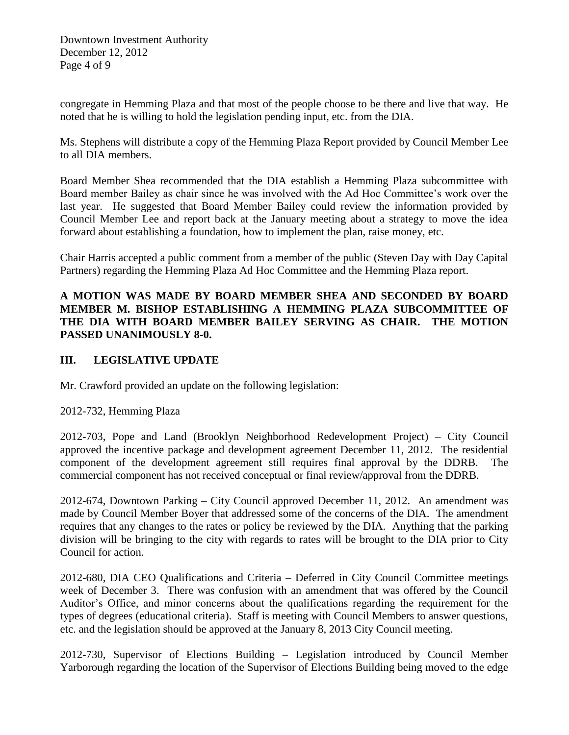congregate in Hemming Plaza and that most of the people choose to be there and live that way. He noted that he is willing to hold the legislation pending input, etc. from the DIA.

Ms. Stephens will distribute a copy of the Hemming Plaza Report provided by Council Member Lee to all DIA members.

Board Member Shea recommended that the DIA establish a Hemming Plaza subcommittee with Board member Bailey as chair since he was involved with the Ad Hoc Committee's work over the last year. He suggested that Board Member Bailey could review the information provided by Council Member Lee and report back at the January meeting about a strategy to move the idea forward about establishing a foundation, how to implement the plan, raise money, etc.

Chair Harris accepted a public comment from a member of the public (Steven Day with Day Capital Partners) regarding the Hemming Plaza Ad Hoc Committee and the Hemming Plaza report.

## **A MOTION WAS MADE BY BOARD MEMBER SHEA AND SECONDED BY BOARD MEMBER M. BISHOP ESTABLISHING A HEMMING PLAZA SUBCOMMITTEE OF THE DIA WITH BOARD MEMBER BAILEY SERVING AS CHAIR. THE MOTION PASSED UNANIMOUSLY 8-0.**

## **III. LEGISLATIVE UPDATE**

Mr. Crawford provided an update on the following legislation:

2012-732, Hemming Plaza

2012-703, Pope and Land (Brooklyn Neighborhood Redevelopment Project) – City Council approved the incentive package and development agreement December 11, 2012. The residential component of the development agreement still requires final approval by the DDRB. The commercial component has not received conceptual or final review/approval from the DDRB.

2012-674, Downtown Parking – City Council approved December 11, 2012. An amendment was made by Council Member Boyer that addressed some of the concerns of the DIA. The amendment requires that any changes to the rates or policy be reviewed by the DIA. Anything that the parking division will be bringing to the city with regards to rates will be brought to the DIA prior to City Council for action.

2012-680, DIA CEO Qualifications and Criteria – Deferred in City Council Committee meetings week of December 3. There was confusion with an amendment that was offered by the Council Auditor's Office, and minor concerns about the qualifications regarding the requirement for the types of degrees (educational criteria). Staff is meeting with Council Members to answer questions, etc. and the legislation should be approved at the January 8, 2013 City Council meeting.

2012-730, Supervisor of Elections Building – Legislation introduced by Council Member Yarborough regarding the location of the Supervisor of Elections Building being moved to the edge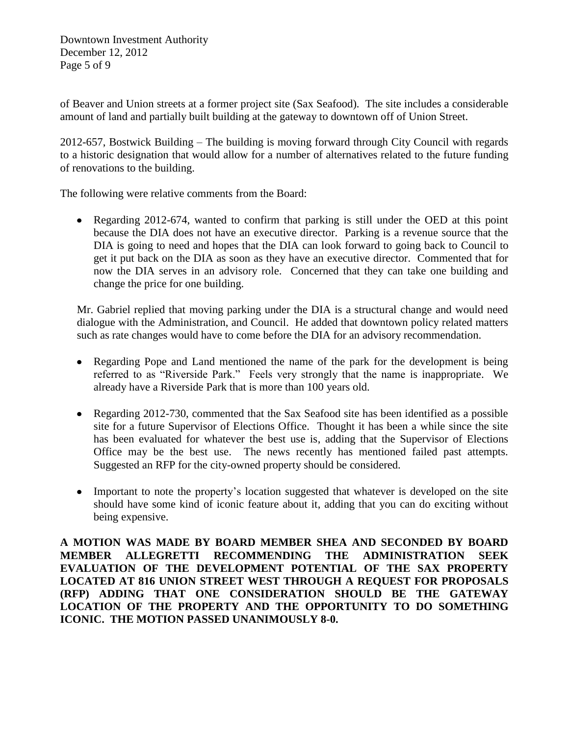Downtown Investment Authority December 12, 2012 Page 5 of 9

of Beaver and Union streets at a former project site (Sax Seafood). The site includes a considerable amount of land and partially built building at the gateway to downtown off of Union Street.

2012-657, Bostwick Building – The building is moving forward through City Council with regards to a historic designation that would allow for a number of alternatives related to the future funding of renovations to the building.

The following were relative comments from the Board:

Regarding 2012-674, wanted to confirm that parking is still under the OED at this point because the DIA does not have an executive director. Parking is a revenue source that the DIA is going to need and hopes that the DIA can look forward to going back to Council to get it put back on the DIA as soon as they have an executive director. Commented that for now the DIA serves in an advisory role. Concerned that they can take one building and change the price for one building.

Mr. Gabriel replied that moving parking under the DIA is a structural change and would need dialogue with the Administration, and Council. He added that downtown policy related matters such as rate changes would have to come before the DIA for an advisory recommendation.

- Regarding Pope and Land mentioned the name of the park for the development is being referred to as "Riverside Park." Feels very strongly that the name is inappropriate. We already have a Riverside Park that is more than 100 years old.
- Regarding 2012-730, commented that the Sax Seafood site has been identified as a possible site for a future Supervisor of Elections Office. Thought it has been a while since the site has been evaluated for whatever the best use is, adding that the Supervisor of Elections Office may be the best use. The news recently has mentioned failed past attempts. Suggested an RFP for the city-owned property should be considered.
- Important to note the property's location suggested that whatever is developed on the site should have some kind of iconic feature about it, adding that you can do exciting without being expensive.

**A MOTION WAS MADE BY BOARD MEMBER SHEA AND SECONDED BY BOARD MEMBER ALLEGRETTI RECOMMENDING THE ADMINISTRATION SEEK EVALUATION OF THE DEVELOPMENT POTENTIAL OF THE SAX PROPERTY LOCATED AT 816 UNION STREET WEST THROUGH A REQUEST FOR PROPOSALS (RFP) ADDING THAT ONE CONSIDERATION SHOULD BE THE GATEWAY LOCATION OF THE PROPERTY AND THE OPPORTUNITY TO DO SOMETHING ICONIC. THE MOTION PASSED UNANIMOUSLY 8-0.**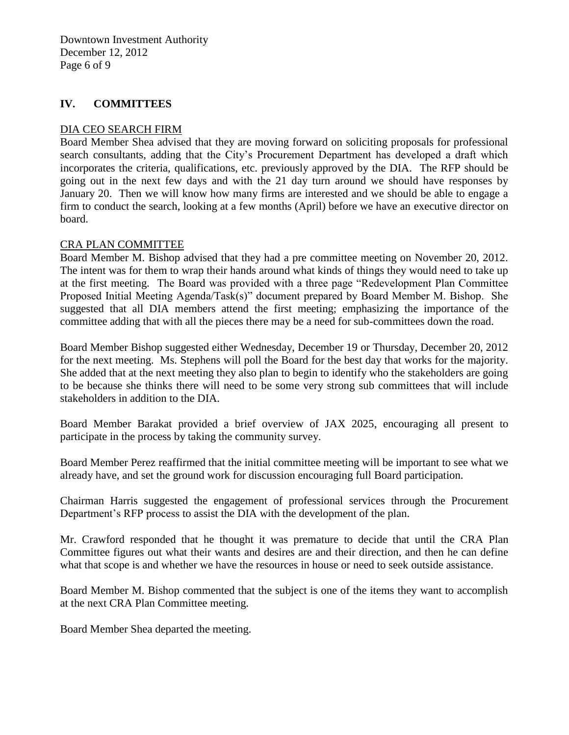Downtown Investment Authority December 12, 2012 Page 6 of 9

#### **IV. COMMITTEES**

#### DIA CEO SEARCH FIRM

Board Member Shea advised that they are moving forward on soliciting proposals for professional search consultants, adding that the City's Procurement Department has developed a draft which incorporates the criteria, qualifications, etc. previously approved by the DIA. The RFP should be going out in the next few days and with the 21 day turn around we should have responses by January 20. Then we will know how many firms are interested and we should be able to engage a firm to conduct the search, looking at a few months (April) before we have an executive director on board.

#### CRA PLAN COMMITTEE

Board Member M. Bishop advised that they had a pre committee meeting on November 20, 2012. The intent was for them to wrap their hands around what kinds of things they would need to take up at the first meeting. The Board was provided with a three page "Redevelopment Plan Committee Proposed Initial Meeting Agenda/Task(s)" document prepared by Board Member M. Bishop. She suggested that all DIA members attend the first meeting; emphasizing the importance of the committee adding that with all the pieces there may be a need for sub-committees down the road.

Board Member Bishop suggested either Wednesday, December 19 or Thursday, December 20, 2012 for the next meeting. Ms. Stephens will poll the Board for the best day that works for the majority. She added that at the next meeting they also plan to begin to identify who the stakeholders are going to be because she thinks there will need to be some very strong sub committees that will include stakeholders in addition to the DIA.

Board Member Barakat provided a brief overview of JAX 2025, encouraging all present to participate in the process by taking the community survey.

Board Member Perez reaffirmed that the initial committee meeting will be important to see what we already have, and set the ground work for discussion encouraging full Board participation.

Chairman Harris suggested the engagement of professional services through the Procurement Department's RFP process to assist the DIA with the development of the plan.

Mr. Crawford responded that he thought it was premature to decide that until the CRA Plan Committee figures out what their wants and desires are and their direction, and then he can define what that scope is and whether we have the resources in house or need to seek outside assistance.

Board Member M. Bishop commented that the subject is one of the items they want to accomplish at the next CRA Plan Committee meeting.

Board Member Shea departed the meeting.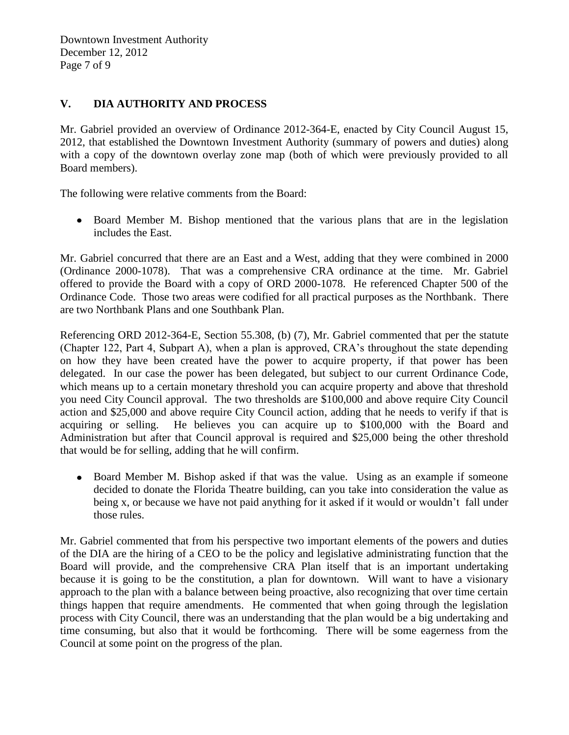Downtown Investment Authority December 12, 2012 Page 7 of 9

## **V. DIA AUTHORITY AND PROCESS**

Mr. Gabriel provided an overview of Ordinance 2012-364-E, enacted by City Council August 15, 2012, that established the Downtown Investment Authority (summary of powers and duties) along with a copy of the downtown overlay zone map (both of which were previously provided to all Board members).

The following were relative comments from the Board:

Board Member M. Bishop mentioned that the various plans that are in the legislation includes the East.

Mr. Gabriel concurred that there are an East and a West, adding that they were combined in 2000 (Ordinance 2000-1078). That was a comprehensive CRA ordinance at the time. Mr. Gabriel offered to provide the Board with a copy of ORD 2000-1078. He referenced Chapter 500 of the Ordinance Code. Those two areas were codified for all practical purposes as the Northbank. There are two Northbank Plans and one Southbank Plan.

Referencing ORD 2012-364-E, Section 55.308, (b) (7), Mr. Gabriel commented that per the statute (Chapter 122, Part 4, Subpart A), when a plan is approved, CRA's throughout the state depending on how they have been created have the power to acquire property, if that power has been delegated. In our case the power has been delegated, but subject to our current Ordinance Code, which means up to a certain monetary threshold you can acquire property and above that threshold you need City Council approval. The two thresholds are \$100,000 and above require City Council action and \$25,000 and above require City Council action, adding that he needs to verify if that is acquiring or selling. He believes you can acquire up to \$100,000 with the Board and Administration but after that Council approval is required and \$25,000 being the other threshold that would be for selling, adding that he will confirm.

Board Member M. Bishop asked if that was the value. Using as an example if someone decided to donate the Florida Theatre building, can you take into consideration the value as being x, or because we have not paid anything for it asked if it would or wouldn't fall under those rules.

Mr. Gabriel commented that from his perspective two important elements of the powers and duties of the DIA are the hiring of a CEO to be the policy and legislative administrating function that the Board will provide, and the comprehensive CRA Plan itself that is an important undertaking because it is going to be the constitution, a plan for downtown. Will want to have a visionary approach to the plan with a balance between being proactive, also recognizing that over time certain things happen that require amendments. He commented that when going through the legislation process with City Council, there was an understanding that the plan would be a big undertaking and time consuming, but also that it would be forthcoming. There will be some eagerness from the Council at some point on the progress of the plan.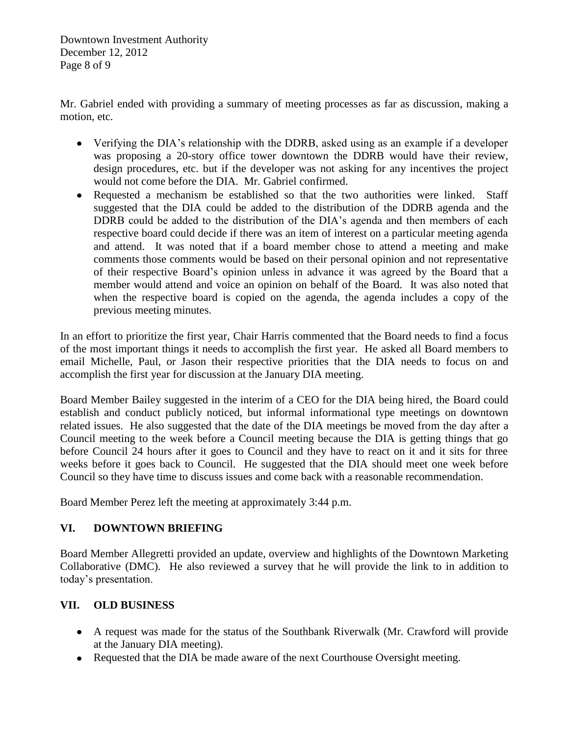Downtown Investment Authority December 12, 2012 Page 8 of 9

Mr. Gabriel ended with providing a summary of meeting processes as far as discussion, making a motion, etc.

- Verifying the DIA's relationship with the DDRB, asked using as an example if a developer was proposing a 20-story office tower downtown the DDRB would have their review, design procedures, etc. but if the developer was not asking for any incentives the project would not come before the DIA. Mr. Gabriel confirmed.
- Requested a mechanism be established so that the two authorities were linked. Staff suggested that the DIA could be added to the distribution of the DDRB agenda and the DDRB could be added to the distribution of the DIA's agenda and then members of each respective board could decide if there was an item of interest on a particular meeting agenda and attend. It was noted that if a board member chose to attend a meeting and make comments those comments would be based on their personal opinion and not representative of their respective Board's opinion unless in advance it was agreed by the Board that a member would attend and voice an opinion on behalf of the Board. It was also noted that when the respective board is copied on the agenda, the agenda includes a copy of the previous meeting minutes.

In an effort to prioritize the first year, Chair Harris commented that the Board needs to find a focus of the most important things it needs to accomplish the first year. He asked all Board members to email Michelle, Paul, or Jason their respective priorities that the DIA needs to focus on and accomplish the first year for discussion at the January DIA meeting.

Board Member Bailey suggested in the interim of a CEO for the DIA being hired, the Board could establish and conduct publicly noticed, but informal informational type meetings on downtown related issues. He also suggested that the date of the DIA meetings be moved from the day after a Council meeting to the week before a Council meeting because the DIA is getting things that go before Council 24 hours after it goes to Council and they have to react on it and it sits for three weeks before it goes back to Council. He suggested that the DIA should meet one week before Council so they have time to discuss issues and come back with a reasonable recommendation.

Board Member Perez left the meeting at approximately 3:44 p.m.

# **VI. DOWNTOWN BRIEFING**

Board Member Allegretti provided an update, overview and highlights of the Downtown Marketing Collaborative (DMC). He also reviewed a survey that he will provide the link to in addition to today's presentation.

# **VII. OLD BUSINESS**

- A request was made for the status of the Southbank Riverwalk (Mr. Crawford will provide at the January DIA meeting).
- Requested that the DIA be made aware of the next Courthouse Oversight meeting.